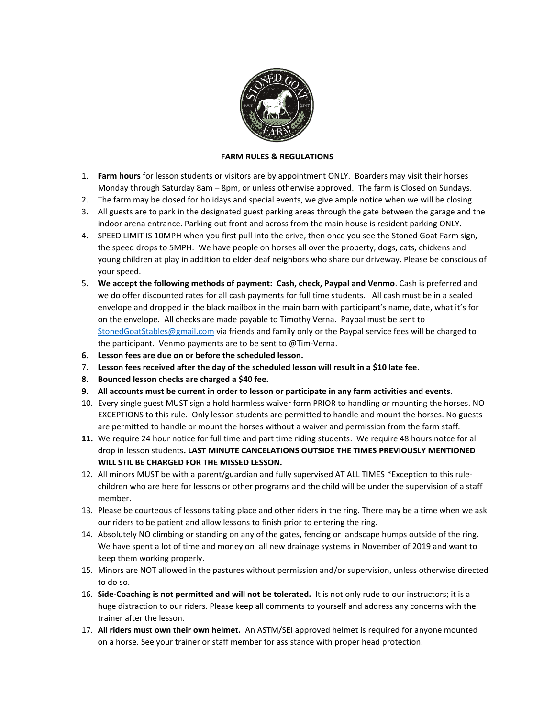

## **FARM RULES & REGULATIONS**

- 1. **Farm hours** for lesson students or visitors are by appointment ONLY. Boarders may visit their horses Monday through Saturday 8am – 8pm, or unless otherwise approved. The farm is Closed on Sundays.
- 2. The farm may be closed for holidays and special events, we give ample notice when we will be closing.
- 3. All guests are to park in the designated guest parking areas through the gate between the garage and the indoor arena entrance. Parking out front and across from the main house is resident parking ONLY.
- 4. SPEED LIMIT IS 10MPH when you first pull into the drive, then once you see the Stoned Goat Farm sign, the speed drops to 5MPH. We have people on horses all over the property, dogs, cats, chickens and young children at play in addition to elder deaf neighbors who share our driveway. Please be conscious of your speed.
- 5. **We accept the following methods of payment: Cash, check, Paypal and Venmo**. Cash is preferred and we do offer discounted rates for all cash payments for full time students. All cash must be in a sealed envelope and dropped in the black mailbox in the main barn with participant's name, date, what it's for on the envelope. All checks are made payable to Timothy Verna. Paypal must be sent to [StonedGoatStables@gmail.com](mailto:StonedGoatStables@gmail.com) via friends and family only or the Paypal service fees will be charged to the participant. Venmo payments are to be sent to @Tim-Verna.
- **6. Lesson fees are due on or before the scheduled lesson.**
- 7. **Lesson fees received after the day of the scheduled lesson will result in a \$10 late fee**.
- **8. Bounced lesson checks are charged a \$40 fee.**
- **9. All accounts must be current in order to lesson or participate in any farm activities and events.**
- 10. Every single guest MUST sign a hold harmless waiver form PRIOR to handling or mounting the horses. NO EXCEPTIONS to this rule. Only lesson students are permitted to handle and mount the horses. No guests are permitted to handle or mount the horses without a waiver and permission from the farm staff.
- **11.** We require 24 hour notice for full time and part time riding students. We require 48 hours notce for all drop in lesson students**. LAST MINUTE CANCELATIONS OUTSIDE THE TIMES PREVIOUSLY MENTIONED WILL STIL BE CHARGED FOR THE MISSED LESSON.**
- 12. All minors MUST be with a parent/guardian and fully supervised AT ALL TIMES \*Exception to this rulechildren who are here for lessons or other programs and the child will be under the supervision of a staff member.
- 13. Please be courteous of lessons taking place and other riders in the ring. There may be a time when we ask our riders to be patient and allow lessons to finish prior to entering the ring.
- 14. Absolutely NO climbing or standing on any of the gates, fencing or landscape humps outside of the ring. We have spent a lot of time and money on all new drainage systems in November of 2019 and want to keep them working properly.
- 15. Minors are NOT allowed in the pastures without permission and/or supervision, unless otherwise directed to do so.
- 16. **Side-Coaching is not permitted and will not be tolerated.** It is not only rude to our instructors; it is a huge distraction to our riders. Please keep all comments to yourself and address any concerns with the trainer after the lesson.
- 17. **All riders must own their own helmet.** An ASTM/SEI approved helmet is required for anyone mounted on a horse. See your trainer or staff member for assistance with proper head protection.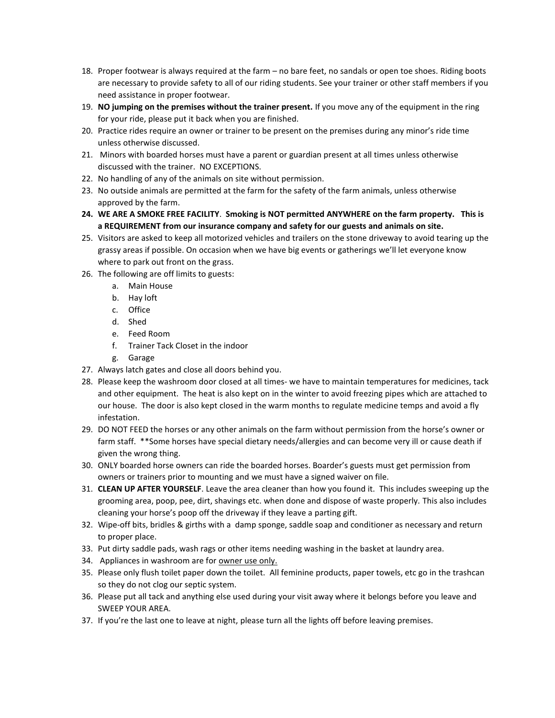- 18. Proper footwear is always required at the farm no bare feet, no sandals or open toe shoes. Riding boots are necessary to provide safety to all of our riding students. See your trainer or other staff members if you need assistance in proper footwear.
- 19. **NO jumping on the premises without the trainer present.** If you move any of the equipment in the ring for your ride, please put it back when you are finished.
- 20. Practice rides require an owner or trainer to be present on the premises during any minor's ride time unless otherwise discussed.
- 21. Minors with boarded horses must have a parent or guardian present at all times unless otherwise discussed with the trainer. NO EXCEPTIONS.
- 22. No handling of any of the animals on site without permission.
- 23. No outside animals are permitted at the farm for the safety of the farm animals, unless otherwise approved by the farm.
- **24. WE ARE A SMOKE FREE FACILITY**. **Smoking is NOT permitted ANYWHERE on the farm property. This is a REQUIREMENT from our insurance company and safety for our guests and animals on site.**
- 25. Visitors are asked to keep all motorized vehicles and trailers on the stone driveway to avoid tearing up the grassy areas if possible. On occasion when we have big events or gatherings we'll let everyone know where to park out front on the grass.
- 26. The following are off limits to guests:
	- a. Main House
	- b. Hay loft
	- c. Office
	- d. Shed
	- e. Feed Room
	- f. Trainer Tack Closet in the indoor
	- g. Garage
- 27. Always latch gates and close all doors behind you.
- 28. Please keep the washroom door closed at all times- we have to maintain temperatures for medicines, tack and other equipment. The heat is also kept on in the winter to avoid freezing pipes which are attached to our house. The door is also kept closed in the warm months to regulate medicine temps and avoid a fly infestation.
- 29. DO NOT FEED the horses or any other animals on the farm without permission from the horse's owner or farm staff. \*\*Some horses have special dietary needs/allergies and can become very ill or cause death if given the wrong thing.
- 30. ONLY boarded horse owners can ride the boarded horses. Boarder's guests must get permission from owners or trainers prior to mounting and we must have a signed waiver on file.
- 31. **CLEAN UP AFTER YOURSELF**. Leave the area cleaner than how you found it. This includes sweeping up the grooming area, poop, pee, dirt, shavings etc. when done and dispose of waste properly. This also includes cleaning your horse's poop off the driveway if they leave a parting gift.
- 32. Wipe-off bits, bridles & girths with a damp sponge, saddle soap and conditioner as necessary and return to proper place.
- 33. Put dirty saddle pads, wash rags or other items needing washing in the basket at laundry area.
- 34. Appliances in washroom are for owner use only.
- 35. Please only flush toilet paper down the toilet. All feminine products, paper towels, etc go in the trashcan so they do not clog our septic system.
- 36. Please put all tack and anything else used during your visit away where it belongs before you leave and SWEEP YOUR AREA.
- 37. If you're the last one to leave at night, please turn all the lights off before leaving premises.